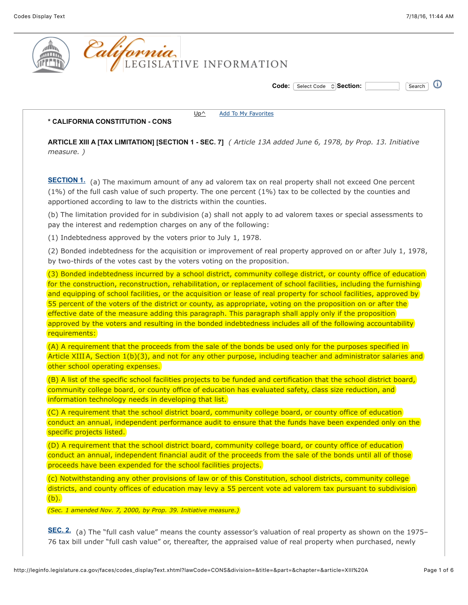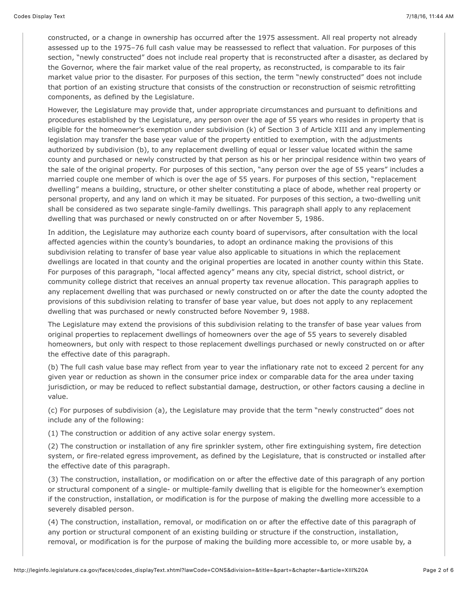constructed, or a change in ownership has occurred after the 1975 assessment. All real property not already assessed up to the 1975–76 full cash value may be reassessed to reflect that valuation. For purposes of this section, "newly constructed" does not include real property that is reconstructed after a disaster, as declared by the Governor, where the fair market value of the real property, as reconstructed, is comparable to its fair market value prior to the disaster. For purposes of this section, the term "newly constructed" does not include that portion of an existing structure that consists of the construction or reconstruction of seismic retrofitting components, as defined by the Legislature.

However, the Legislature may provide that, under appropriate circumstances and pursuant to definitions and procedures established by the Legislature, any person over the age of 55 years who resides in property that is eligible for the homeowner's exemption under subdivision (k) of Section 3 of Article XIII and any implementing legislation may transfer the base year value of the property entitled to exemption, with the adjustments authorized by subdivision (b), to any replacement dwelling of equal or lesser value located within the same county and purchased or newly constructed by that person as his or her principal residence within two years of the sale of the original property. For purposes of this section, "any person over the age of 55 years" includes a married couple one member of which is over the age of 55 years. For purposes of this section, "replacement dwelling" means a building, structure, or other shelter constituting a place of abode, whether real property or personal property, and any land on which it may be situated. For purposes of this section, a two-dwelling unit shall be considered as two separate single-family dwellings. This paragraph shall apply to any replacement dwelling that was purchased or newly constructed on or after November 5, 1986.

In addition, the Legislature may authorize each county board of supervisors, after consultation with the local affected agencies within the county's boundaries, to adopt an ordinance making the provisions of this subdivision relating to transfer of base year value also applicable to situations in which the replacement dwellings are located in that county and the original properties are located in another county within this State. For purposes of this paragraph, "local affected agency" means any city, special district, school district, or community college district that receives an annual property tax revenue allocation. This paragraph applies to any replacement dwelling that was purchased or newly constructed on or after the date the county adopted the provisions of this subdivision relating to transfer of base year value, but does not apply to any replacement dwelling that was purchased or newly constructed before November 9, 1988.

The Legislature may extend the provisions of this subdivision relating to the transfer of base year values from original properties to replacement dwellings of homeowners over the age of 55 years to severely disabled homeowners, but only with respect to those replacement dwellings purchased or newly constructed on or after the effective date of this paragraph.

(b) The full cash value base may reflect from year to year the inflationary rate not to exceed 2 percent for any given year or reduction as shown in the consumer price index or comparable data for the area under taxing jurisdiction, or may be reduced to reflect substantial damage, destruction, or other factors causing a decline in value.

(c) For purposes of subdivision (a), the Legislature may provide that the term "newly constructed" does not include any of the following:

(1) The construction or addition of any active solar energy system.

(2) The construction or installation of any fire sprinkler system, other fire extinguishing system, fire detection system, or fire-related egress improvement, as defined by the Legislature, that is constructed or installed after the effective date of this paragraph.

(3) The construction, installation, or modification on or after the effective date of this paragraph of any portion or structural component of a single- or multiple-family dwelling that is eligible for the homeowner's exemption if the construction, installation, or modification is for the purpose of making the dwelling more accessible to a severely disabled person.

(4) The construction, installation, removal, or modification on or after the effective date of this paragraph of any portion or structural component of an existing building or structure if the construction, installation, removal, or modification is for the purpose of making the building more accessible to, or more usable by, a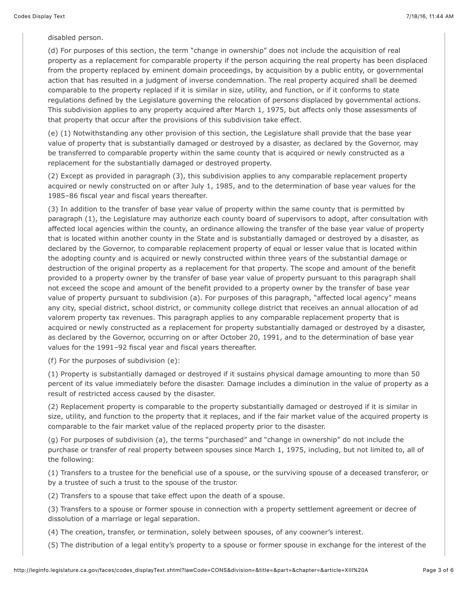## disabled person.

(d) For purposes of this section, the term "change in ownership" does not include the acquisition of real property as a replacement for comparable property if the person acquiring the real property has been displaced from the property replaced by eminent domain proceedings, by acquisition by a public entity, or governmental action that has resulted in a judgment of inverse condemnation. The real property acquired shall be deemed comparable to the property replaced if it is similar in size, utility, and function, or if it conforms to state regulations defined by the Legislature governing the relocation of persons displaced by governmental actions. This subdivision applies to any property acquired after March 1, 1975, but affects only those assessments of that property that occur after the provisions of this subdivision take effect.

(e) (1) Notwithstanding any other provision of this section, the Legislature shall provide that the base year value of property that is substantially damaged or destroyed by a disaster, as declared by the Governor, may be transferred to comparable property within the same county that is acquired or newly constructed as a replacement for the substantially damaged or destroyed property.

(2) Except as provided in paragraph (3), this subdivision applies to any comparable replacement property acquired or newly constructed on or after July 1, 1985, and to the determination of base year values for the 1985–86 fiscal year and fiscal years thereafter.

(3) In addition to the transfer of base year value of property within the same county that is permitted by paragraph (1), the Legislature may authorize each county board of supervisors to adopt, after consultation with affected local agencies within the county, an ordinance allowing the transfer of the base year value of property that is located within another county in the State and is substantially damaged or destroyed by a disaster, as declared by the Governor, to comparable replacement property of equal or lesser value that is located within the adopting county and is acquired or newly constructed within three years of the substantial damage or destruction of the original property as a replacement for that property. The scope and amount of the benefit provided to a property owner by the transfer of base year value of property pursuant to this paragraph shall not exceed the scope and amount of the benefit provided to a property owner by the transfer of base year value of property pursuant to subdivision (a). For purposes of this paragraph, "affected local agency" means any city, special district, school district, or community college district that receives an annual allocation of ad valorem property tax revenues. This paragraph applies to any comparable replacement property that is acquired or newly constructed as a replacement for property substantially damaged or destroyed by a disaster, as declared by the Governor, occurring on or after October 20, 1991, and to the determination of base year values for the 1991–92 fiscal year and fiscal years thereafter.

(f) For the purposes of subdivision (e):

(1) Property is substantially damaged or destroyed if it sustains physical damage amounting to more than 50 percent of its value immediately before the disaster. Damage includes a diminution in the value of property as a result of restricted access caused by the disaster.

(2) Replacement property is comparable to the property substantially damaged or destroyed if it is similar in size, utility, and function to the property that it replaces, and if the fair market value of the acquired property is comparable to the fair market value of the replaced property prior to the disaster.

(g) For purposes of subdivision (a), the terms "purchased" and "change in ownership" do not include the purchase or transfer of real property between spouses since March 1, 1975, including, but not limited to, all of the following:

(1) Transfers to a trustee for the beneficial use of a spouse, or the surviving spouse of a deceased transferor, or by a trustee of such a trust to the spouse of the trustor.

(2) Transfers to a spouse that take effect upon the death of a spouse.

(3) Transfers to a spouse or former spouse in connection with a property settlement agreement or decree of dissolution of a marriage or legal separation.

(4) The creation, transfer, or termination, solely between spouses, of any coowner's interest.

(5) The distribution of a legal entity's property to a spouse or former spouse in exchange for the interest of the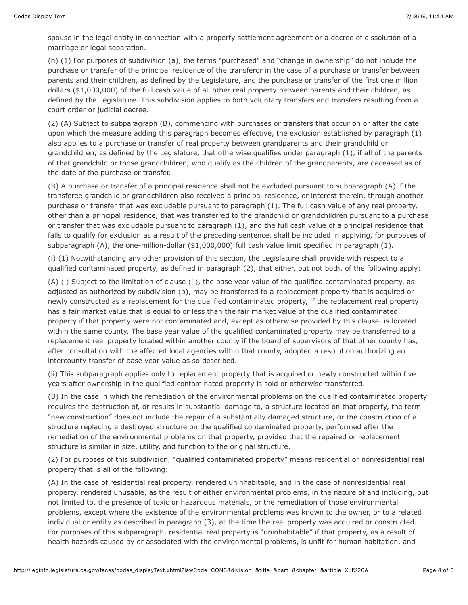spouse in the legal entity in connection with a property settlement agreement or a decree of dissolution of a marriage or legal separation.

(h) (1) For purposes of subdivision (a), the terms "purchased" and "change in ownership" do not include the purchase or transfer of the principal residence of the transferor in the case of a purchase or transfer between parents and their children, as defined by the Legislature, and the purchase or transfer of the first one million dollars (\$1,000,000) of the full cash value of all other real property between parents and their children, as defined by the Legislature. This subdivision applies to both voluntary transfers and transfers resulting from a court order or judicial decree.

(2) (A) Subject to subparagraph (B), commencing with purchases or transfers that occur on or after the date upon which the measure adding this paragraph becomes effective, the exclusion established by paragraph (1) also applies to a purchase or transfer of real property between grandparents and their grandchild or grandchildren, as defined by the Legislature, that otherwise qualifies under paragraph (1), if all of the parents of that grandchild or those grandchildren, who qualify as the children of the grandparents, are deceased as of the date of the purchase or transfer.

(B) A purchase or transfer of a principal residence shall not be excluded pursuant to subparagraph (A) if the transferee grandchild or grandchildren also received a principal residence, or interest therein, through another purchase or transfer that was excludable pursuant to paragraph (1). The full cash value of any real property, other than a principal residence, that was transferred to the grandchild or grandchildren pursuant to a purchase or transfer that was excludable pursuant to paragraph (1), and the full cash value of a principal residence that fails to qualify for exclusion as a result of the preceding sentence, shall be included in applying, for purposes of subparagraph (A), the one-million-dollar (\$1,000,000) full cash value limit specified in paragraph (1).

(i) (1) Notwithstanding any other provision of this section, the Legislature shall provide with respect to a qualified contaminated property, as defined in paragraph (2), that either, but not both, of the following apply:

(A) (i) Subject to the limitation of clause (ii), the base year value of the qualified contaminated property, as adjusted as authorized by subdivision (b), may be transferred to a replacement property that is acquired or newly constructed as a replacement for the qualified contaminated property, if the replacement real property has a fair market value that is equal to or less than the fair market value of the qualified contaminated property if that property were not contaminated and, except as otherwise provided by this clause, is located within the same county. The base year value of the qualified contaminated property may be transferred to a replacement real property located within another county if the board of supervisors of that other county has, after consultation with the affected local agencies within that county, adopted a resolution authorizing an intercounty transfer of base year value as so described.

(ii) This subparagraph applies only to replacement property that is acquired or newly constructed within five years after ownership in the qualified contaminated property is sold or otherwise transferred.

(B) In the case in which the remediation of the environmental problems on the qualified contaminated property requires the destruction of, or results in substantial damage to, a structure located on that property, the term "new construction" does not include the repair of a substantially damaged structure, or the construction of a structure replacing a destroyed structure on the qualified contaminated property, performed after the remediation of the environmental problems on that property, provided that the repaired or replacement structure is similar in size, utility, and function to the original structure.

(2) For purposes of this subdivision, "qualified contaminated property" means residential or nonresidential real property that is all of the following:

(A) In the case of residential real property, rendered uninhabitable, and in the case of nonresidential real property, rendered unusable, as the result of either environmental problems, in the nature of and including, but not limited to, the presence of toxic or hazardous materials, or the remediation of those environmental problems, except where the existence of the environmental problems was known to the owner, or to a related individual or entity as described in paragraph (3), at the time the real property was acquired or constructed. For purposes of this subparagraph, residential real property is "uninhabitable" if that property, as a result of health hazards caused by or associated with the environmental problems, is unfit for human habitation, and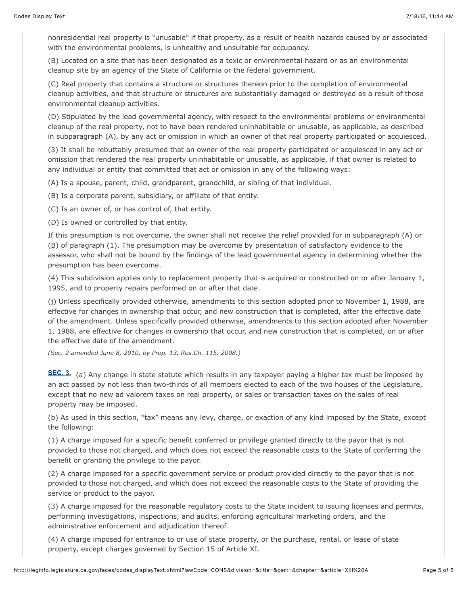nonresidential real property is "unusable" if that property, as a result of health hazards caused by or associated with the environmental problems, is unhealthy and unsuitable for occupancy.

(B) Located on a site that has been designated as a toxic or environmental hazard or as an environmental cleanup site by an agency of the State of California or the federal government.

(C) Real property that contains a structure or structures thereon prior to the completion of environmental cleanup activities, and that structure or structures are substantially damaged or destroyed as a result of those environmental cleanup activities.

(D) Stipulated by the lead governmental agency, with respect to the environmental problems or environmental cleanup of the real property, not to have been rendered uninhabitable or unusable, as applicable, as described in subparagraph (A), by any act or omission in which an owner of that real property participated or acquiesced.

(3) It shall be rebuttably presumed that an owner of the real property participated or acquiesced in any act or omission that rendered the real property uninhabitable or unusable, as applicable, if that owner is related to any individual or entity that committed that act or omission in any of the following ways:

(A) Is a spouse, parent, child, grandparent, grandchild, or sibling of that individual.

(B) Is a corporate parent, subsidiary, or affiliate of that entity.

(C) Is an owner of, or has control of, that entity.

(D) Is owned or controlled by that entity.

If this presumption is not overcome, the owner shall not receive the relief provided for in subparagraph (A) or (B) of paragraph (1). The presumption may be overcome by presentation of satisfactory evidence to the assessor, who shall not be bound by the findings of the lead governmental agency in determining whether the presumption has been overcome.

(4) This subdivision applies only to replacement property that is acquired or constructed on or after January 1, 1995, and to property repairs performed on or after that date.

(j) Unless specifically provided otherwise, amendments to this section adopted prior to November 1, 1988, are effective for changes in ownership that occur, and new construction that is completed, after the effective date of the amendment. Unless specifically provided otherwise, amendments to this section adopted after November 1, 1988, are effective for changes in ownership that occur, and new construction that is completed, on or after the effective date of the amendment.

*(Sec. 2 amended June 8, 2010, by Prop. 13. Res.Ch. 115, 2008.)*

**[SEC. 3.](javascript:submitCodesValues()** (a) Any change in state statute which results in any taxpayer paying a higher tax must be imposed by an act passed by not less than two-thirds of all members elected to each of the two houses of the Legislature, except that no new ad valorem taxes on real property, or sales or transaction taxes on the sales of real property may be imposed.

(b) As used in this section, "tax" means any levy, charge, or exaction of any kind imposed by the State, except the following:

(1) A charge imposed for a specific benefit conferred or privilege granted directly to the payor that is not provided to those not charged, and which does not exceed the reasonable costs to the State of conferring the benefit or granting the privilege to the payor.

(2) A charge imposed for a specific government service or product provided directly to the payor that is not provided to those not charged, and which does not exceed the reasonable costs to the State of providing the service or product to the payor.

(3) A charge imposed for the reasonable regulatory costs to the State incident to issuing licenses and permits, performing investigations, inspections, and audits, enforcing agricultural marketing orders, and the administrative enforcement and adjudication thereof.

(4) A charge imposed for entrance to or use of state property, or the purchase, rental, or lease of state property, except charges governed by Section 15 of Article XI.